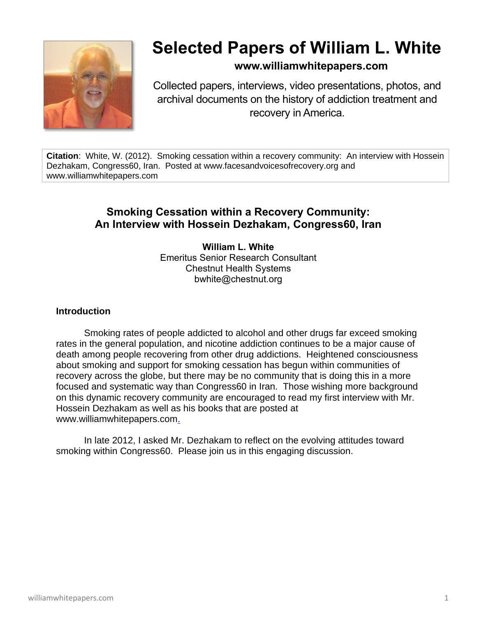

## **Selected Papers of William L. White**

## **www.williamwhitepapers.com**

Collected papers, interviews, video presentations, photos, and archival documents on the history of addiction treatment and recovery in America.

**Citation**: White, W. (2012). Smoking cessation within a recovery community: An interview with Hossein Dezhakam, Congress60, Iran. Posted at www.facesandvoicesofrecovery.org and www.williamwhitepapers.com

## **Smoking Cessation within a Recovery Community: An Interview with Hossein Dezhakam, Congress60, Iran**

**William L. White** Emeritus Senior Research Consultant Chestnut Health Systems bwhite@chestnut.org

## **Introduction**

Smoking rates of people addicted to alcohol and other drugs far exceed smoking rates in the general population, and nicotine addiction continues to be a major cause of death among people recovering from other drug addictions. Heightened consciousness about smoking and support for smoking cessation has begun within communities of recovery across the globe, but there may be no community that is doing this in a more focused and systematic way than Congress60 in Iran. Those wishing more background on this dynamic recovery community are encouraged to read my first interview with Mr. Hossein Dezhakam as well as his books that are posted at www.williamwhitepapers.com.

In late 2012, I asked Mr. Dezhakam to reflect on the evolving attitudes toward smoking within Congress60. Please join us in this engaging discussion.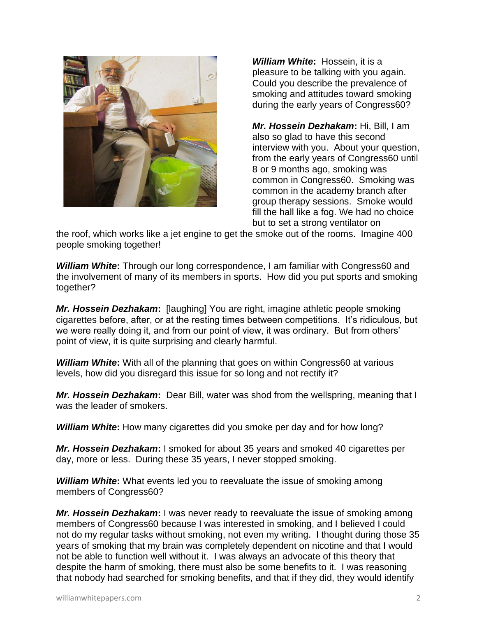

*William White***:** Hossein, it is a pleasure to be talking with you again. Could you describe the prevalence of smoking and attitudes toward smoking during the early years of Congress60?

*Mr. Hossein Dezhakam***:** Hi, Bill, I am also so glad to have this second interview with you. About your question, from the early years of Congress60 until 8 or 9 months ago, smoking was common in Congress60. Smoking was common in the academy branch after group therapy sessions. Smoke would fill the hall like a fog. We had no choice but to set a strong ventilator on

the roof, which works like a jet engine to get the smoke out of the rooms. Imagine 400 people smoking together!

*William White***:** Through our long correspondence, I am familiar with Congress60 and the involvement of many of its members in sports. How did you put sports and smoking together?

*Mr. Hossein Dezhakam***:** [laughing] You are right, imagine athletic people smoking cigarettes before, after, or at the resting times between competitions. It's ridiculous, but we were really doing it, and from our point of view, it was ordinary. But from others' point of view, it is quite surprising and clearly harmful.

*William White***:** With all of the planning that goes on within Congress60 at various levels, how did you disregard this issue for so long and not rectify it?

*Mr. Hossein Dezhakam***:** Dear Bill, water was shod from the wellspring, meaning that I was the leader of smokers.

*William White***:** How many cigarettes did you smoke per day and for how long?

*Mr. Hossein Dezhakam***:** I smoked for about 35 years and smoked 40 cigarettes per day, more or less. During these 35 years, I never stopped smoking.

*William White***:** What events led you to reevaluate the issue of smoking among members of Congress60?

*Mr. Hossein Dezhakam***:** I was never ready to reevaluate the issue of smoking among members of Congress60 because I was interested in smoking, and I believed I could not do my regular tasks without smoking, not even my writing. I thought during those 35 years of smoking that my brain was completely dependent on nicotine and that I would not be able to function well without it. I was always an advocate of this theory that despite the harm of smoking, there must also be some benefits to it. I was reasoning that nobody had searched for smoking benefits, and that if they did, they would identify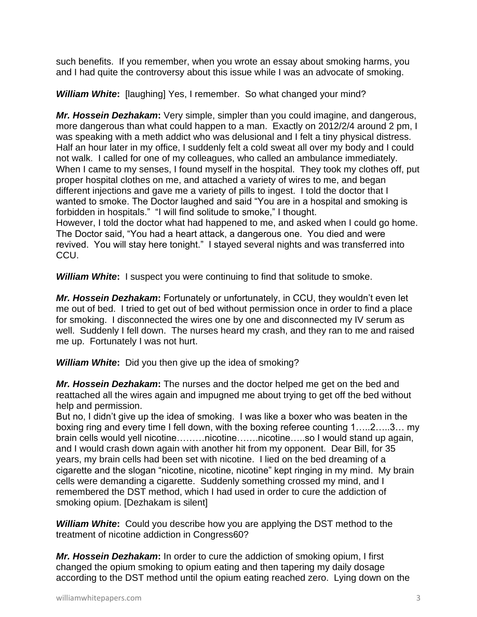such benefits. If you remember, when you wrote an essay about smoking harms, you and I had quite the controversy about this issue while I was an advocate of smoking.

*William White***:** [laughing] Yes, I remember. So what changed your mind?

*Mr. Hossein Dezhakam***:** Very simple, simpler than you could imagine, and dangerous, more dangerous than what could happen to a man. Exactly on 2012/2/4 around 2 pm, I was speaking with a meth addict who was delusional and I felt a tiny physical distress. Half an hour later in my office, I suddenly felt a cold sweat all over my body and I could not walk. I called for one of my colleagues, who called an ambulance immediately. When I came to my senses, I found myself in the hospital. They took my clothes off, put proper hospital clothes on me, and attached a variety of wires to me, and began different injections and gave me a variety of pills to ingest. I told the doctor that I wanted to smoke. The Doctor laughed and said "You are in a hospital and smoking is forbidden in hospitals." "I will find solitude to smoke," I thought. However, I told the doctor what had happened to me, and asked when I could go home. The Doctor said, "You had a heart attack, a dangerous one. You died and were revived. You will stay here tonight." I stayed several nights and was transferred into

CCU.

**William White:** I suspect you were continuing to find that solitude to smoke.

*Mr. Hossein Dezhakam***:** Fortunately or unfortunately, in CCU, they wouldn't even let me out of bed. I tried to get out of bed without permission once in order to find a place for smoking. I disconnected the wires one by one and disconnected my IV serum as well. Suddenly I fell down. The nurses heard my crash, and they ran to me and raised me up. Fortunately I was not hurt.

*William White***:** Did you then give up the idea of smoking?

*Mr. Hossein Dezhakam***:** The nurses and the doctor helped me get on the bed and reattached all the wires again and impugned me about trying to get off the bed without help and permission.

But no, I didn't give up the idea of smoking. I was like a boxer who was beaten in the boxing ring and every time I fell down, with the boxing referee counting 1…..2…..3… my brain cells would yell nicotine………nicotine…….nicotine…..so I would stand up again, and I would crash down again with another hit from my opponent. Dear Bill, for 35 years, my brain cells had been set with nicotine. I lied on the bed dreaming of a cigarette and the slogan "nicotine, nicotine, nicotine" kept ringing in my mind. My brain cells were demanding a cigarette. Suddenly something crossed my mind, and I remembered the DST method, which I had used in order to cure the addiction of smoking opium. [Dezhakam is silent]

*William White***:** Could you describe how you are applying the DST method to the treatment of nicotine addiction in Congress60?

*Mr. Hossein Dezhakam***:** In order to cure the addiction of smoking opium, I first changed the opium smoking to opium eating and then tapering my daily dosage according to the DST method until the opium eating reached zero. Lying down on the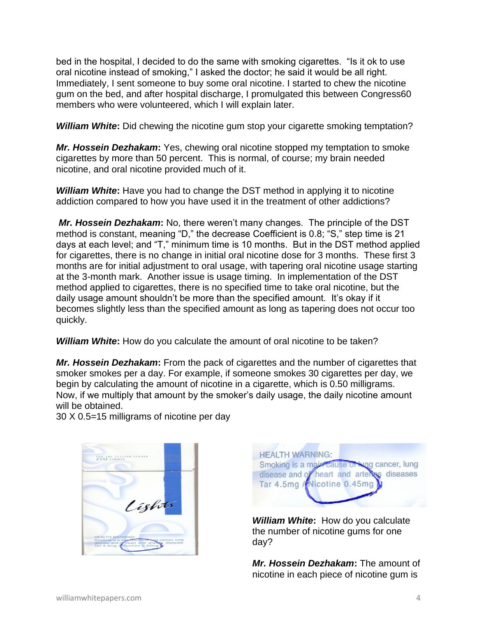bed in the hospital, I decided to do the same with smoking cigarettes. "Is it ok to use oral nicotine instead of smoking," I asked the doctor; he said it would be all right. Immediately, I sent someone to buy some oral nicotine. I started to chew the nicotine gum on the bed, and after hospital discharge, I promulgated this between Congress60 members who were volunteered, which I will explain later.

**William White:** Did chewing the nicotine gum stop your cigarette smoking temptation?

*Mr. Hossein Dezhakam***:** Yes, chewing oral nicotine stopped my temptation to smoke cigarettes by more than 50 percent. This is normal, of course; my brain needed nicotine, and oral nicotine provided much of it.

*William White***:** Have you had to change the DST method in applying it to nicotine addiction compared to how you have used it in the treatment of other addictions?

*Mr. Hossein Dezhakam***:** No, there weren't many changes. The principle of the DST method is constant, meaning "D," the decrease Coefficient is 0.8; "S," step time is 21 days at each level; and "T," minimum time is 10 months. But in the DST method applied for cigarettes, there is no change in initial oral nicotine dose for 3 months. These first 3 months are for initial adjustment to oral usage, with tapering oral nicotine usage starting at the 3-month mark. Another issue is usage timing. In implementation of the DST method applied to cigarettes, there is no specified time to take oral nicotine, but the daily usage amount shouldn't be more than the specified amount. It's okay if it becomes slightly less than the specified amount as long as tapering does not occur too quickly.

*William White***:** How do you calculate the amount of oral nicotine to be taken?

*Mr. Hossein Dezhakam***:** From the pack of cigarettes and the number of cigarettes that smoker smokes per a day. For example, if someone smokes 30 cigarettes per day, we begin by calculating the amount of nicotine in a cigarette, which is 0.50 milligrams. Now, if we multiply that amount by the smoker's daily usage, the daily nicotine amount will be obtained.

30 X 0.5=15 milligrams of nicotine per day





*William White***:** How do you calculate the number of nicotine gums for one day?

*Mr. Hossein Dezhakam***:** The amount of nicotine in each piece of nicotine gum is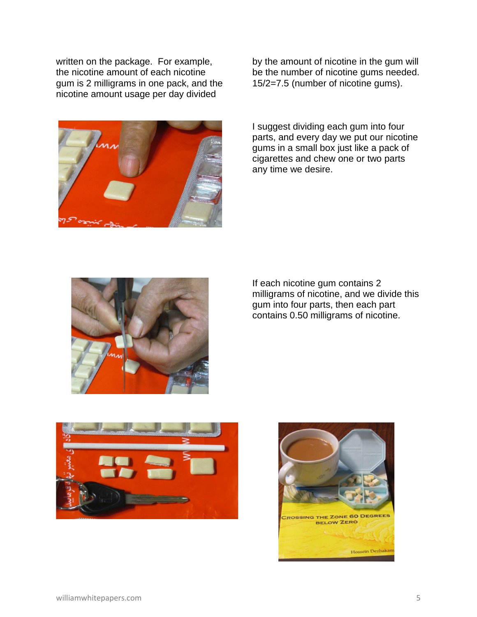written on the package. For example, the nicotine amount of each nicotine gum is 2 milligrams in one pack, and the nicotine amount usage per day divided



by the amount of nicotine in the gum will be the number of nicotine gums needed. 15/2=7.5 (number of nicotine gums).

I suggest dividing each gum into four parts, and every day we put our nicotine gums in a small box just like a pack of cigarettes and chew one or two parts any time we desire.



If each nicotine gum contains 2 milligrams of nicotine, and we divide this gum into four parts, then each part contains 0.50 milligrams of nicotine.



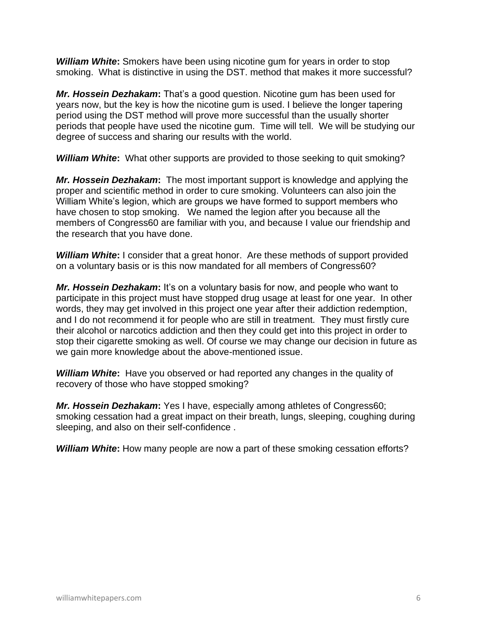*William White***:** Smokers have been using nicotine gum for years in order to stop smoking. What is distinctive in using the DST. method that makes it more successful?

*Mr. Hossein Dezhakam***:** That's a good question. Nicotine gum has been used for years now, but the key is how the nicotine gum is used. I believe the longer tapering period using the DST method will prove more successful than the usually shorter periods that people have used the nicotine gum. Time will tell. We will be studying our degree of success and sharing our results with the world.

*William White***:** What other supports are provided to those seeking to quit smoking?

*Mr. Hossein Dezhakam***:** The most important support is knowledge and applying the proper and scientific method in order to cure smoking. Volunteers can also join the William White's legion, which are groups we have formed to support members who have chosen to stop smoking. We named the legion after you because all the members of Congress60 are familiar with you, and because I value our friendship and the research that you have done.

**William White:** I consider that a great honor. Are these methods of support provided on a voluntary basis or is this now mandated for all members of Congress60?

**Mr. Hossein Dezhakam:** It's on a voluntary basis for now, and people who want to participate in this project must have stopped drug usage at least for one year. In other words, they may get involved in this project one year after their addiction redemption, and I do not recommend it for people who are still in treatment. They must firstly cure their alcohol or narcotics addiction and then they could get into this project in order to stop their cigarette smoking as well. Of course we may change our decision in future as we gain more knowledge about the above-mentioned issue.

*William White***:** Have you observed or had reported any changes in the quality of recovery of those who have stopped smoking?

*Mr. Hossein Dezhakam***:** Yes I have, especially among athletes of Congress60; smoking cessation had a great impact on their breath, lungs, sleeping, coughing during sleeping, and also on their self-confidence .

*William White***:** How many people are now a part of these smoking cessation efforts?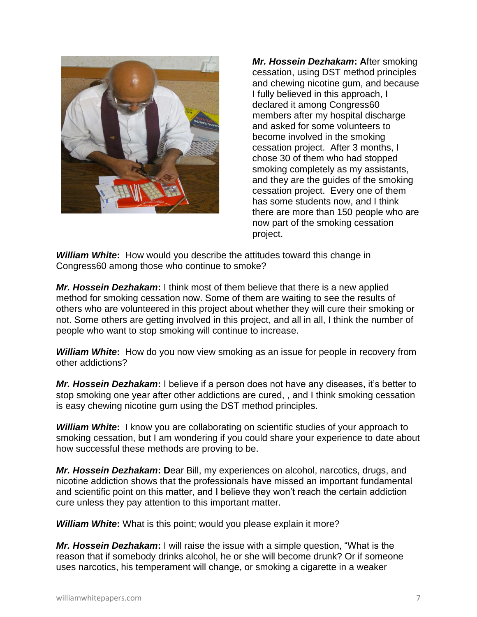

*Mr. Hossein Dezhakam***: A**fter smoking cessation, using DST method principles and chewing nicotine gum, and because I fully believed in this approach, I declared it among Congress60 members after my hospital discharge and asked for some volunteers to become involved in the smoking cessation project. After 3 months, I chose 30 of them who had stopped smoking completely as my assistants, and they are the guides of the smoking cessation project. Every one of them has some students now, and I think there are more than 150 people who are now part of the smoking cessation project.

*William White***:** How would you describe the attitudes toward this change in Congress60 among those who continue to smoke?

*Mr. Hossein Dezhakam***:** I think most of them believe that there is a new applied method for smoking cessation now. Some of them are waiting to see the results of others who are volunteered in this project about whether they will cure their smoking or not. Some others are getting involved in this project, and all in all, I think the number of people who want to stop smoking will continue to increase.

*William White***:** How do you now view smoking as an issue for people in recovery from other addictions?

*Mr. Hossein Dezhakam***:** I believe if a person does not have any diseases, it's better to stop smoking one year after other addictions are cured, , and I think smoking cessation is easy chewing nicotine gum using the DST method principles.

*William White***:** I know you are collaborating on scientific studies of your approach to smoking cessation, but I am wondering if you could share your experience to date about how successful these methods are proving to be.

*Mr. Hossein Dezhakam***: D**ear Bill, my experiences on alcohol, narcotics, drugs, and nicotine addiction shows that the professionals have missed an important fundamental and scientific point on this matter, and I believe they won't reach the certain addiction cure unless they pay attention to this important matter.

*William White***:** What is this point; would you please explain it more?

*Mr. Hossein Dezhakam***:** I will raise the issue with a simple question, "What is the reason that if somebody drinks alcohol, he or she will become drunk? Or if someone uses narcotics, his temperament will change, or smoking a cigarette in a weaker